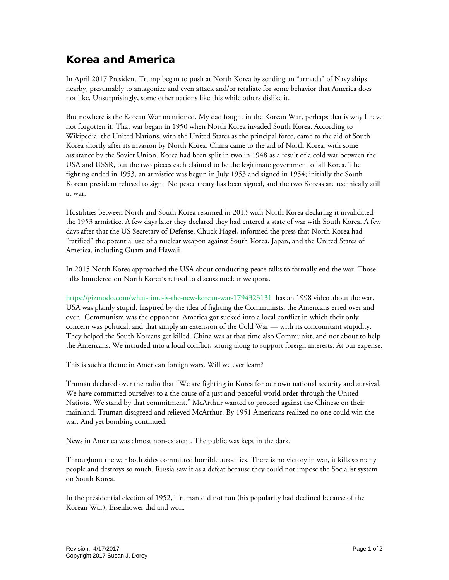## **Korea and America**

In April 2017 President Trump began to push at North Korea by sending an "armada" of Navy ships nearby, presumably to antagonize and even attack and/or retaliate for some behavior that America does not like. Unsurprisingly, some other nations like this while others dislike it.

But nowhere is the Korean War mentioned. My dad fought in the Korean War, perhaps that is why I have not forgotten it. That war began in 1950 when North Korea invaded South Korea. According to Wikipedia: the United Nations, with the United States as the principal force, came to the aid of South Korea shortly after its invasion by North Korea. China came to the aid of North Korea, with some assistance by the Soviet Union. Korea had been split in two in 1948 as a result of a cold war between the USA and USSR, but the two pieces each claimed to be the legitimate government of all Korea. The fighting ended in 1953, an armistice was begun in July 1953 and signed in 1954; initially the South Korean president refused to sign. No peace treaty has been signed, and the two Koreas are technically still at war.

Hostilities between North and South Korea resumed in 2013 with North Korea declaring it invalidated the 1953 armistice. A few days later they declared they had entered a state of war with South Korea. A few days after that the US Secretary of Defense, Chuck Hagel, informed the press that North Korea had "ratified" the potential use of a nuclear weapon against South Korea, Japan, and the United States of America, including Guam and Hawaii.

In 2015 North Korea approached the USA about conducting peace talks to formally end the war. Those talks foundered on North Korea's refusal to discuss nuclear weapons.

<https://gizmodo.com/what-time-is-the-new-korean-war-1794323131>has an 1998 video about the war. USA was plainly stupid. Inspired by the idea of fighting the Communists, the Americans erred over and over. Communism was the opponent. America got sucked into a local conflict in which their only concern was political, and that simply an extension of the Cold War — with its concomitant stupidity. They helped the South Koreans get killed. China was at that time also Communist, and not about to help the Americans. We intruded into a local conflict, strung along to support foreign interests. At our expense.

This is such a theme in American foreign wars. Will we ever learn?

Truman declared over the radio that "We are fighting in Korea for our own national security and survival. We have committed ourselves to a the cause of a just and peaceful world order through the United Nations. We stand by that commitment." McArthur wanted to proceed against the Chinese on their mainland. Truman disagreed and relieved McArthur. By 1951 Americans realized no one could win the war. And yet bombing continued.

News in America was almost non-existent. The public was kept in the dark.

Throughout the war both sides committed horrible atrocities. There is no victory in war, it kills so many people and destroys so much. Russia saw it as a defeat because they could not impose the Socialist system on South Korea.

In the presidential election of 1952, Truman did not run (his popularity had declined because of the Korean War), Eisenhower did and won.